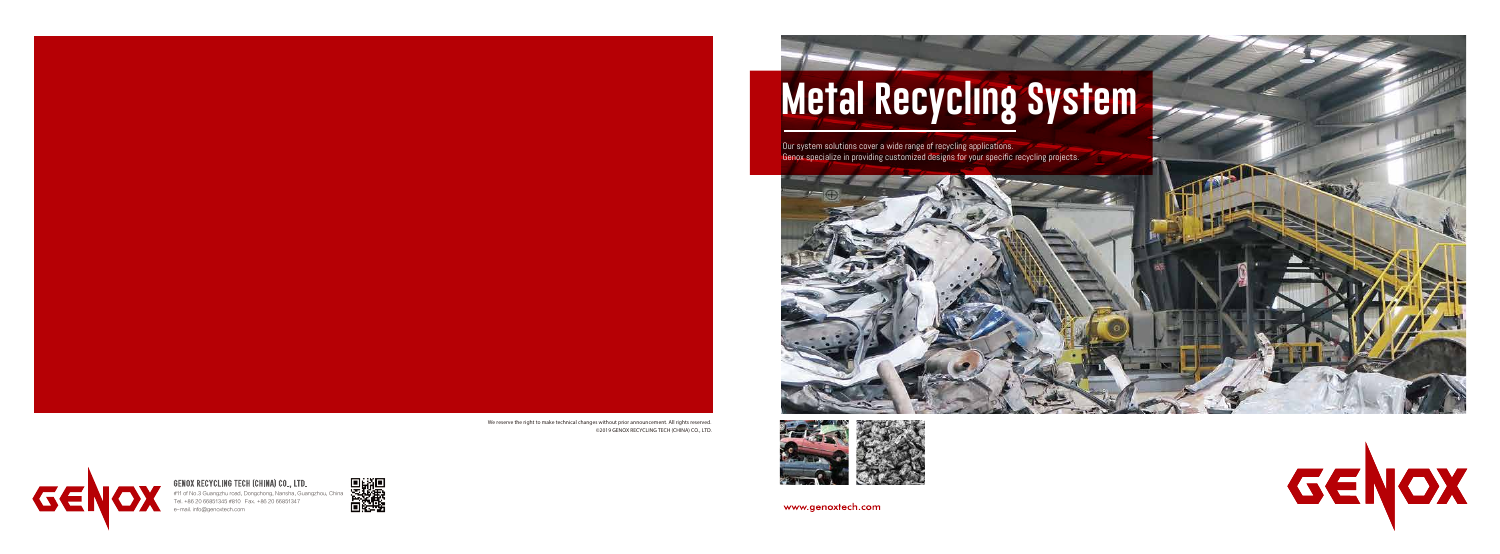# **Metal Recycling System**

Our system solutions cover a wide range of recycling applications. Genox specialize in providing customized designs for your specific recycling projects.



GENOX

We reserve the right to make technical changes without prior announcement. All rights reserved. ©2019 GENOX RECYCLING TECH (CHINA) CO., LTD.



www.genoxtech.com

GENOX RECYCLING TECH (CHINA) CO., LTD.

#11 of No.3 Guangzhu road, Dongchong, Nansha, Guangzhou, China Tel. +86 20 66851345 #810 Fax. +86 20 66851347 e-mail. info@genoxtech.com